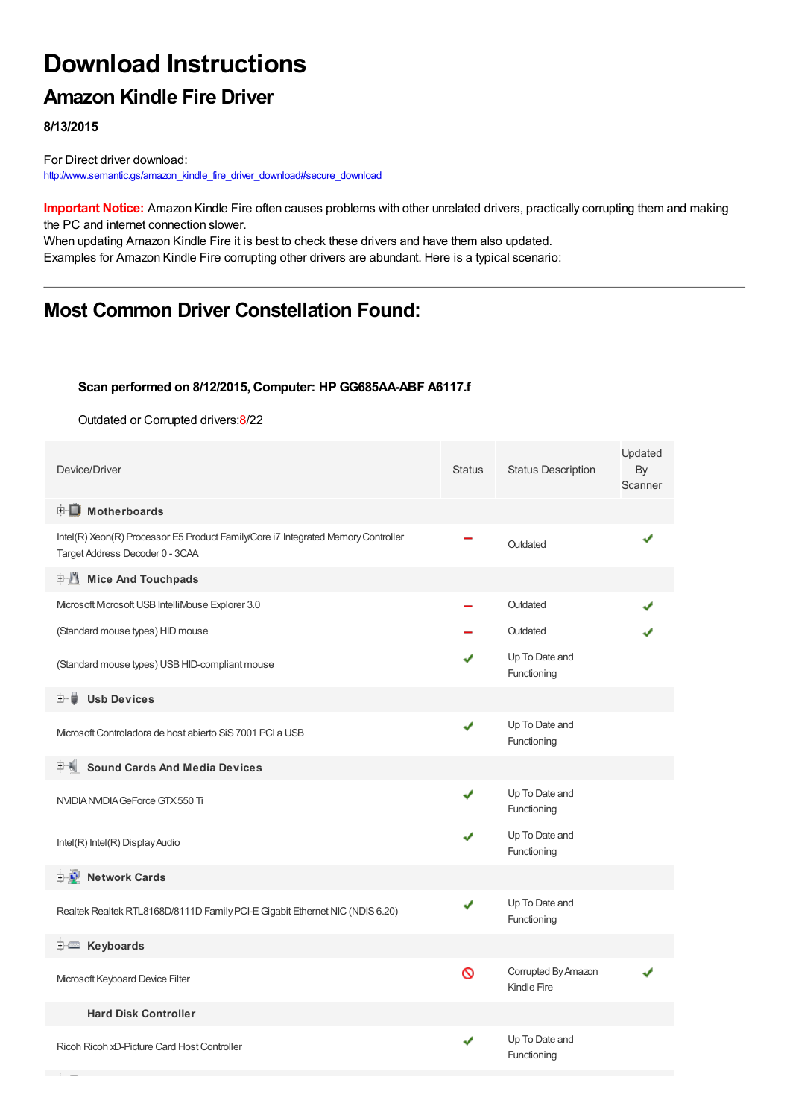# **Download Instructions**

## **Amazon Kindle Fire Driver**

**8/13/2015**

For Direct driver download: [http://www.semantic.gs/amazon\\_kindle\\_fire\\_driver\\_download#secure\\_download](http://www.semantic.gs/amazon_kindle_fire_driver_download#secure_download)

**Important Notice:** Amazon Kindle Fire often causes problems with other unrelated drivers, practically corrupting them and making the PC and internet connection slower.

When updating Amazon Kindle Fire it is best to check these drivers and have them also updated. Examples for Amazon Kindle Fire corrupting other drivers are abundant. Here is a typical scenario:

## **Most Common Driver Constellation Found:**

#### **Scan performed on 8/12/2015, Computer: HP GG685AA-ABF A6117.f**

Outdated or Corrupted drivers:8/22

| Device/Driver                                                                                                        | <b>Status</b> | <b>Status Description</b>          | Updated<br>By<br>Scanner |
|----------------------------------------------------------------------------------------------------------------------|---------------|------------------------------------|--------------------------|
| <b>E</b> Motherboards                                                                                                |               |                                    |                          |
| Intel(R) Xeon(R) Processor E5 Product Family/Core i7 Integrated Memory Controller<br>Target Address Decoder 0 - 3CAA |               | Outdated                           |                          |
| <b>E</b> Mice And Touchpads                                                                                          |               |                                    |                          |
| Microsoft Microsoft USB IntelliMouse Explorer 3.0                                                                    |               | Outdated                           |                          |
| (Standard mouse types) HID mouse                                                                                     |               | Outdated                           |                          |
| (Standard mouse types) USB HID-compliant mouse                                                                       |               | Up To Date and<br>Functioning      |                          |
| <b>Usb Devices</b><br>⊞… ⊌                                                                                           |               |                                    |                          |
| Microsoft Controladora de host abierto SiS 7001 PCI a USB                                                            | ✔             | Up To Date and<br>Functioning      |                          |
| <b>Sound Cards And Media Devices</b>                                                                                 |               |                                    |                          |
| NVIDIA NVIDIA GeForce GTX 550 Ti                                                                                     | J             | Up To Date and<br>Functioning      |                          |
| Intel(R) Intel(R) Display Audio                                                                                      |               | Up To Date and<br>Functioning      |                          |
| <b>E-2</b> Network Cards                                                                                             |               |                                    |                          |
| Realtek Realtek RTL8168D/8111D Family PCI-E Gigabit Ethernet NIC (NDIS 6.20)                                         | ✔             | Up To Date and<br>Functioning      |                          |
| <b>i</b> Keyboards                                                                                                   |               |                                    |                          |
| Microsoft Keyboard Device Filter                                                                                     | Ø             | Corrupted By Amazon<br>Kindle Fire |                          |
| <b>Hard Disk Controller</b>                                                                                          |               |                                    |                          |
| Ricoh Ricoh xD-Picture Card Host Controller                                                                          | ✔             | Up To Date and<br>Functioning      |                          |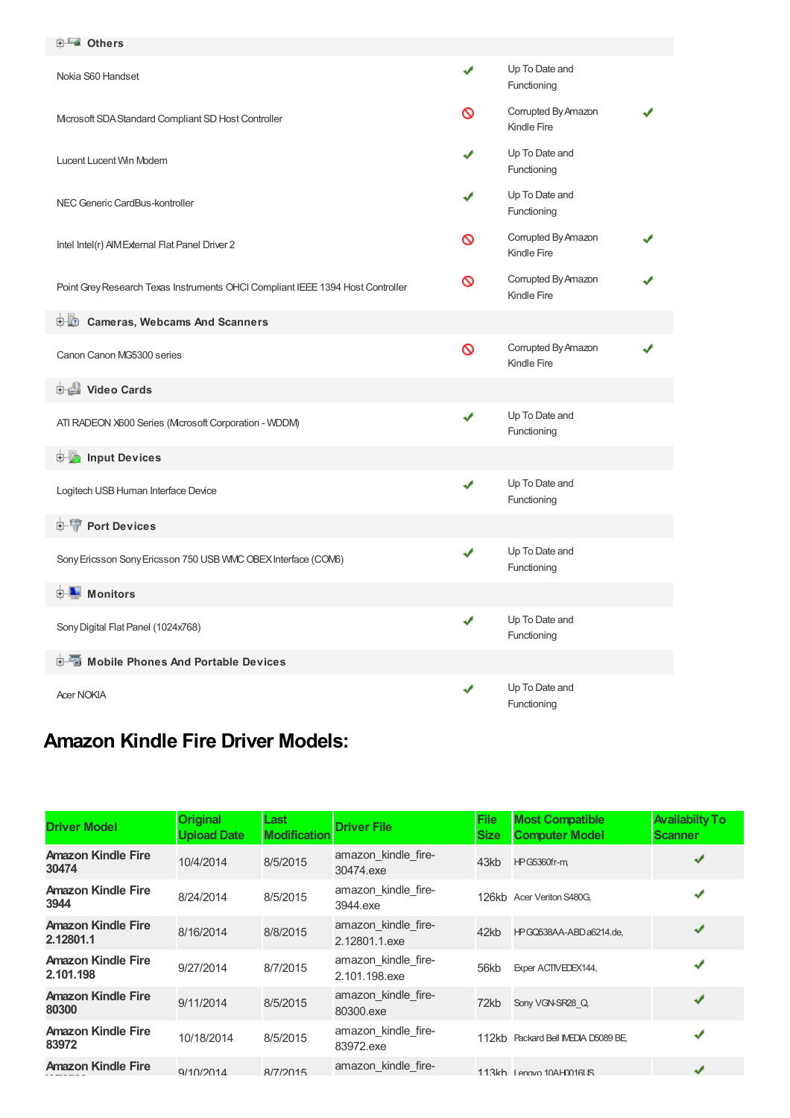| <b>ELE</b> Others                                                              |   |                                    |  |
|--------------------------------------------------------------------------------|---|------------------------------------|--|
| Nokia S60 Handset                                                              | ✔ | Up To Date and<br>Functioning      |  |
| Microsoft SDA Standard Compliant SD Host Controller                            | ∾ | Corrupted By Amazon<br>Kindle Fire |  |
| Lucent Lucent Win Modem                                                        |   | Up To Date and<br>Functioning      |  |
| NEC Generic CardBus-kontroller                                                 |   | Up To Date and<br>Functioning      |  |
| Intel Intel(r) AIM External Flat Panel Driver 2                                | ଷ | Corrupted By Amazon<br>Kindle Fire |  |
| Point Grey Research Texas Instruments OHCI Compliant IEEE 1394 Host Controller | ∾ | Corrupted By Amazon<br>Kindle Fire |  |
| <b>D</b> Cameras, Webcams And Scanners                                         |   |                                    |  |
| Canon Canon MG5300 series                                                      | Ø | Corrupted By Amazon<br>Kindle Fire |  |
| <b>Divideo Cards</b>                                                           |   |                                    |  |
| ATI RADEON X600 Series (Mcrosoft Corporation - WDDM)                           | ✔ | Up To Date and<br>Functioning      |  |
| <b>E</b> Input Devices                                                         |   |                                    |  |
| Logitech USB Human Interface Device                                            | ✔ | Up To Date and<br>Functioning      |  |
| <b>E-T</b> Port Devices                                                        |   |                                    |  |
| Sony Ericsson Sony Ericsson 750 USB VMC OBEX Interface (COM6)                  | ✔ | Up To Date and<br>Functioning      |  |
| $\blacksquare$ Monitors                                                        |   |                                    |  |
| Sony Digital Flat Panel (1024x768)                                             | ✔ | Up To Date and<br>Functioning      |  |
| 白面 Mobile Phones And Portable Devices                                          |   |                                    |  |
| <b>Acer NOKIA</b>                                                              | ✔ | Up To Date and<br>Functioning      |  |

## **Amazon Kindle Fire Driver Models:**

| <b>Driver Model</b>                    | <b>Original</b><br><b>Upload Date</b> | Last<br><b>Modification</b> | <b>Driver File</b>                   | <b>File</b><br><b>Size</b> | <b>Most Compatible</b><br><b>Computer Model</b> | <b>Availabilty To</b><br><b>Scanner</b> |
|----------------------------------------|---------------------------------------|-----------------------------|--------------------------------------|----------------------------|-------------------------------------------------|-----------------------------------------|
| <b>Amazon Kindle Fire</b><br>30474     | 10/4/2014                             | 8/5/2015                    | amazon kindle fire-<br>30474.exe     | 43kb                       | <b>HPG5360fr-m</b>                              |                                         |
| <b>Amazon Kindle Fire</b><br>3944      | 8/24/2014                             | 8/5/2015                    | amazon kindle fire-<br>3944.exe      |                            | 126kb Acer Veriton S480G.                       | ✔                                       |
| <b>Amazon Kindle Fire</b><br>2.12801.1 | 8/16/2014                             | 8/8/2015                    | amazon kindle fire-<br>2.12801.1.exe | 42kb                       | HPGQ538AA-ABDa6214.de,                          | ✔                                       |
| <b>Amazon Kindle Fire</b><br>2.101.198 | 9/27/2014                             | 8/7/2015                    | amazon kindle fire-<br>2.101.198.exe | 56kb                       | Exper ACTIVEDEX144,                             |                                         |
| <b>Amazon Kindle Fire</b><br>80300     | 9/11/2014                             | 8/5/2015                    | amazon_kindle_fire-<br>80300.exe     | 72kb                       | Sony VGN-SR28 Q                                 | ✔                                       |
| <b>Amazon Kindle Fire</b><br>83972     | 10/18/2014                            | 8/5/2015                    | amazon kindle fire-<br>83972.exe     |                            | 112kb Packard Bell IMEDIA D5089 BE              | ✔                                       |
| <b>Amazon Kindle Fire</b>              | Q/10/2014                             | 8/7/2015                    | amazon kindle fire-                  |                            | 113kh Lenovo 10AH0016LIS                        | J                                       |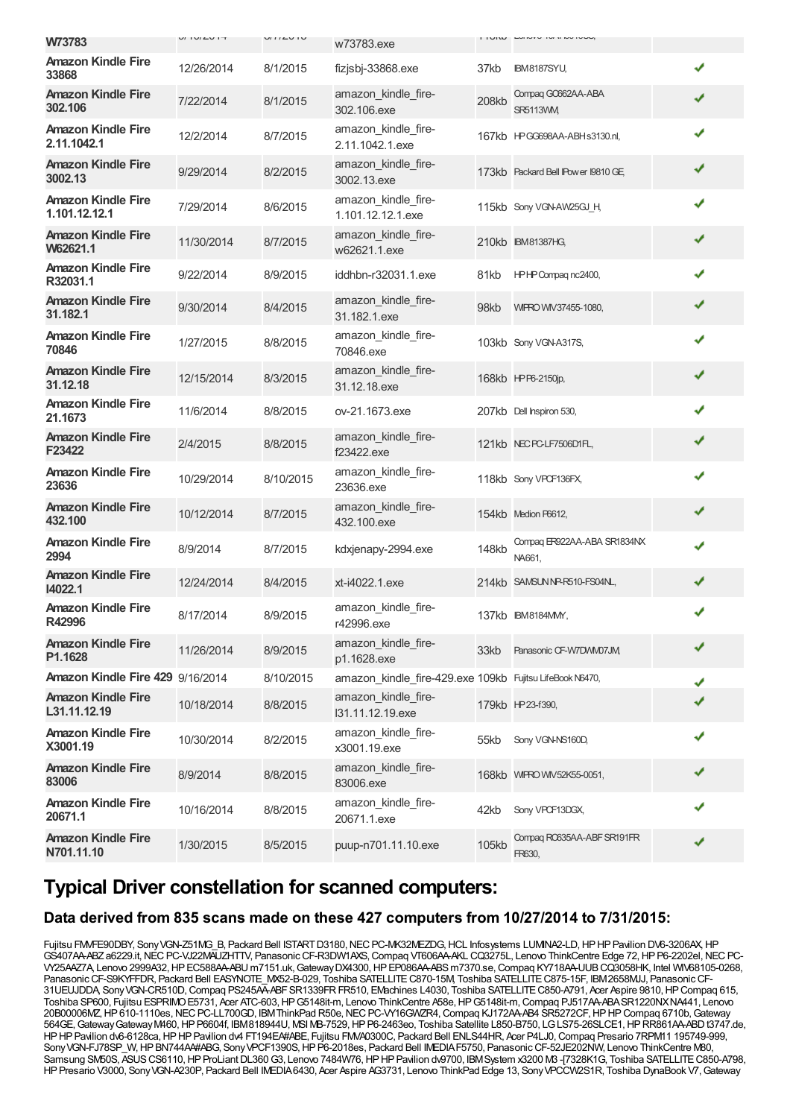|                                            | V1 V1 L V1 T | U11LU1U   |                                                          |       | I I UIW LUIVIU IVI II NU IVUU,        |   |
|--------------------------------------------|--------------|-----------|----------------------------------------------------------|-------|---------------------------------------|---|
| W73783                                     |              |           | w73783.exe                                               |       |                                       |   |
| <b>Amazon Kindle Fire</b><br>33868         | 12/26/2014   | 8/1/2015  | fizjsbj-33868.exe                                        | 37kb  | <b>IBM8187SYU,</b>                    | ✔ |
| <b>Amazon Kindle Fire</b><br>302.106       | 7/22/2014    | 8/1/2015  | amazon_kindle_fire-<br>302.106.exe                       | 208kb | Compag GO662AA-ABA<br><b>SR5113VM</b> | ✔ |
| <b>Amazon Kindle Fire</b><br>2.11.1042.1   | 12/2/2014    | 8/7/2015  | amazon_kindle_fire-<br>2.11.1042.1.exe                   |       | 167kb HPGG698AA-ABHs3130.nl,          | ✔ |
| <b>Amazon Kindle Fire</b><br>3002.13       | 9/29/2014    | 8/2/2015  | amazon_kindle_fire-<br>3002.13.exe                       |       | 173kb Packard Bell IPower 19810 GE    | ✔ |
| <b>Amazon Kindle Fire</b><br>1.101.12.12.1 | 7/29/2014    | 8/6/2015  | amazon_kindle_fire-<br>1.101.12.12.1.exe                 |       | 115kb Sony VGN-AW25GJ H               | ✔ |
| <b>Amazon Kindle Fire</b><br>W62621.1      | 11/30/2014   | 8/7/2015  | amazon_kindle_fire-<br>w62621.1.exe                      |       | 210kb IBM81387HG,                     | ✔ |
| <b>Amazon Kindle Fire</b><br>R32031.1      | 9/22/2014    | 8/9/2015  | iddhbn-r32031.1.exe                                      | 81kb  | HPHP Compag nc2400,                   | ✔ |
| <b>Amazon Kindle Fire</b><br>31.182.1      | 9/30/2014    | 8/4/2015  | amazon_kindle_fire-<br>31.182.1.exe                      | 98kb  | WIPRO WIV37455-1080,                  | ✔ |
| <b>Amazon Kindle Fire</b><br>70846         | 1/27/2015    | 8/8/2015  | amazon_kindle_fire-<br>70846.exe                         |       | 103kb Sony VGN-A317S,                 | ✔ |
| <b>Amazon Kindle Fire</b><br>31.12.18      | 12/15/2014   | 8/3/2015  | amazon_kindle_fire-<br>31.12.18.exe                      |       | 168kb HPP6-2150jp,                    | ✔ |
| <b>Amazon Kindle Fire</b><br>21.1673       | 11/6/2014    | 8/8/2015  | ov-21.1673.exe                                           |       | 207kb Dell Inspiron 530,              | J |
| <b>Amazon Kindle Fire</b><br>F23422        | 2/4/2015     | 8/8/2015  | amazon kindle fire-<br>f23422.exe                        |       | 121kb NECPC-LF7506D1FL,               | ✔ |
| <b>Amazon Kindle Fire</b><br>23636         | 10/29/2014   | 8/10/2015 | amazon_kindle_fire-<br>23636.exe                         |       | 118kb Sony VPCF136FX,                 | ✔ |
| <b>Amazon Kindle Fire</b><br>432.100       | 10/12/2014   | 8/7/2015  | amazon_kindle_fire-<br>432.100.exe                       |       | 154kb Medion P6612,                   | ✔ |
| <b>Amazon Kindle Fire</b><br>2994          | 8/9/2014     | 8/7/2015  | kdxjenapy-2994.exe                                       | 148kb | Compag ER922AA-ABA SR1834NX<br>NA661, | ✔ |
| <b>Amazon Kindle Fire</b><br>14022.1       | 12/24/2014   | 8/4/2015  | xt-i4022.1.exe                                           |       | 214kb SAMSUNNP-R510-FS04NL,           | ✔ |
| <b>Amazon Kindle Fire</b><br>R42996        | 8/17/2014    | 8/9/2015  | amazon kindle fire-<br>r42996.exe                        |       | 137kb IBM8184MM,                      | ✔ |
| <b>Amazon Kindle Fire</b><br>P1.1628       | 11/26/2014   | 8/9/2015  | amazon_kindle_fire-<br>p1.1628.exe                       | 33kb  | Panasonic CF-W7DWM07JM                | ✔ |
| Amazon Kindle Fire 429 9/16/2014           |              | 8/10/2015 | amazon kindle fire-429.exe 109kb Fujitsu LifeBook N6470, |       |                                       |   |
| <b>Amazon Kindle Fire</b><br>L31.11.12.19  | 10/18/2014   | 8/8/2015  | amazon_kindle_fire-<br>I31.11.12.19.exe                  |       | 179kb HP23-f390,                      |   |
| <b>Amazon Kindle Fire</b><br>X3001.19      | 10/30/2014   | 8/2/2015  | amazon_kindle_fire-<br>x3001.19.exe                      | 55kb  | Sony VGN-NS160D,                      |   |
| <b>Amazon Kindle Fire</b><br>83006         | 8/9/2014     | 8/8/2015  | amazon_kindle_fire-<br>83006.exe                         |       | 168kb WIPRO WW52K55-0051,             |   |
| <b>Amazon Kindle Fire</b><br>20671.1       | 10/16/2014   | 8/8/2015  | amazon_kindle_fire-<br>20671.1.exe                       | 42kb  | Sony VPCF13DGX,                       |   |
| <b>Amazon Kindle Fire</b><br>N701.11.10    | 1/30/2015    | 8/5/2015  | puup-n701.11.10.exe                                      | 105kb | Compag RO635AA-ABF SR191FR<br>FR630,  |   |

### **Typical Driver constellation for scanned computers:**

#### **Data derived from 835 scans made on these 427 computers from 10/27/2014 to 7/31/2015:**

Fujitsu FMVFE90DBY, Sony VGN-Z51MG B, Packard Bell ISTART D3180, NEC PC-MK32MEZDG, HCL Infosystems LUMINA2-LD, HP HP Pavilion DV6-3206AX, HP GS407AA-ABZa6229.it,NECPC-VJ22MAUZHTTV, PanasonicCF-R3DW1AXS,Compaq VT606AA-AKL CQ3275L, Lenovo ThinkCentre Edge 72,HPP6-2202el,NECPC-VY25AAZ7A, Lenovo 2999A32,HPEC588AA-ABU m7151.uk,GatewayDX4300,HPEP086AA-ABSm7370.se,Compaq KY718AA-UUBCQ3058HK, Intel WIV68105-0268, PanasonicCF-S9KYFFDR, Packard Bell EASYNOTE\_MX52-B-029, Toshiba SATELLITEC870-15M, Toshiba SATELLITEC875-15F, IBM2658MJJ, PanasonicCF-31UEUJDDA, Sony VGN-CR510D, Compaq PS245AA-ABF SR1339FR FR510, EMachines L4030, Toshiba SATELLITE C850-A791, Acer Aspire 9810, HP Compaq 615, Toshiba SP600, Fujitsu ESPRIMO E5731, Acer ATC-603, HP G5148it-m, Lenovo ThinkCentre A58e, HP G5148it-m, Compaq PJ517AA-ABA SR1220NXNA441, Lenovo 20B00006MZ, HP 610-1110es, NEC PC-LL700GD, IBM ThinkPad R50e, NEC PC-VY16GWZR4, Compaq KJ172AA-AB4 SR5272CF, HP HP Compaq 6710b, Gateway 564GE,GatewayGatewayM460,HPP6604f, IBM818944U, MSI MB-7529,HPP6-2463eo, Toshiba Satellite L850-B750, LGLS75-26SLCE1,HPRR861AA-ABDt3747.de, HPHPPavilion dv6-6128ca,HPHPPavilion dv4 FT194EA#ABE, Fujitsu FMVA0300C, Packard Bell ENLS44HR, Acer P4LJ0,Compaq Presario 7RPM11 195749-999, Sony VGN-FJ78SP\_W, HPBN744A4#ABG, Sony VPCF1390S, HPP6-2018es, Packard Bell IMEDIA F5750, Panasonic CF-52JE202NW, Lenovo ThinkCentre M80, Samsung SM50S, ASUS CS6110, HP ProLiant DL360 G3, Lenovo 7484W76, HP HP Pavilion dv9700, IBMSystem x3200 M3 -[7328K1G, Toshiba SATELLITE C850-A798, HPPresario V3000, SonyVGN-A230P, Packard Bell IMEDIA6430, Acer Aspire AG3731, Lenovo ThinkPad Edge 13, SonyVPCCW2S1R, Toshiba DynaBook V7,Gateway